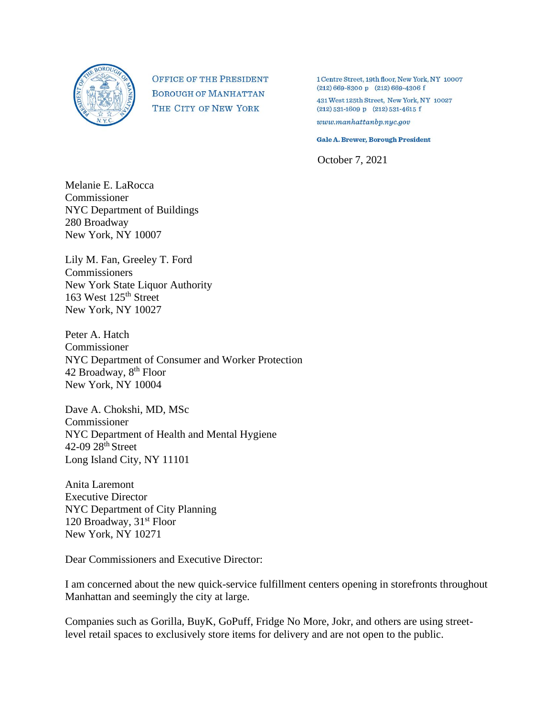

**OFFICE OF THE PRESIDENT BOROUGH OF MANHATTAN** THE CITY OF NEW YORK

1 Centre Street, 19th floor, New York, NY 10007  $(212) 669 - 8300 p$   $(212) 669 - 4306 f$ 

431 West 125th Street, New York, NY 10027  $(212) 531 - 1609 p$  (212) 531-4615 f

 $www.mankattanbp.nyc.gov$ 

**Gale A. Brewer, Borough President** 

October 7, 2021

Melanie E. LaRocca Commissioner NYC Department of Buildings 280 Broadway New York, NY 10007

Lily M. Fan, Greeley T. Ford **Commissioners** New York State Liquor Authority 163 West 125th Street New York, NY 10027

Peter A. Hatch Commissioner NYC Department of Consumer and Worker Protection 42 Broadway, 8<sup>th</sup> Floor New York, NY 10004

Dave A. Chokshi, MD, MSc Commissioner NYC Department of Health and Mental Hygiene 42-09 28<sup>th</sup> Street Long Island City, NY 11101

Anita Laremont Executive Director NYC Department of City Planning 120 Broadway, 31<sup>st</sup> Floor New York, NY 10271

Dear Commissioners and Executive Director:

I am concerned about the new quick-service fulfillment centers opening in storefronts throughout Manhattan and seemingly the city at large.

Companies such as Gorilla, BuyK, GoPuff, Fridge No More, Jokr, and others are using streetlevel retail spaces to exclusively store items for delivery and are not open to the public.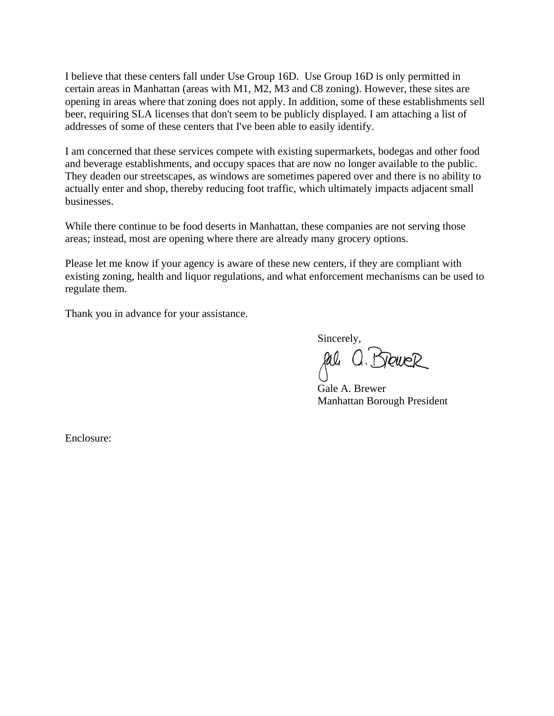I believe that these centers fall under Use Group 16D. Use Group 16D is only permitted in certain areas in Manhattan (areas with M1, M2, M3 and C8 zoning). However, these sites are opening in areas where that zoning does not apply. In addition, some of these establishments sell beer, requiring SLA licenses that don't seem to be publicly displayed. I am attaching a list of addresses of some of these centers that I've been able to easily identify.

I am concerned that these services compete with existing supermarkets, bodegas and other food and beverage establishments, and occupy spaces that are now no longer available to the public. They deaden our streetscapes, as windows are sometimes papered over and there is no ability to actually enter and shop, thereby reducing foot traffic, which ultimately impacts adjacent small businesses.

While there continue to be food deserts in Manhattan, these companies are not serving those areas; instead, most are opening where there are already many grocery options.

Please let me know if your agency is aware of these new centers, if they are compliant with existing zoning, health and liquor regulations, and what enforcement mechanisms can be used to regulate them.

Thank you in advance for your assistance.

Sincerely,

gal

Gale A. Brewer Manhattan Borough President

Enclosure: